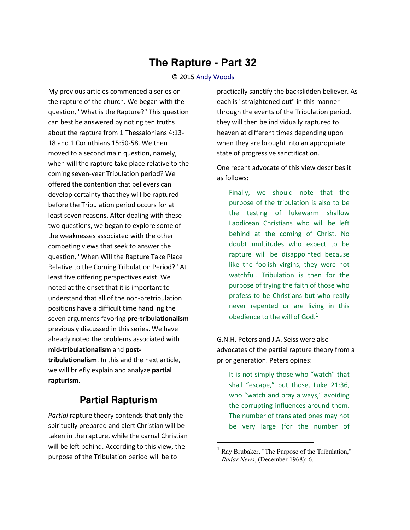## **The Rapture - Part 32**

## © 2015 [Andy Woods](http://www.spiritandtruth.org/id/aw.htm)

My previous articles commenced a series on the rapture of the church. We began with the question, "What is the Rapture?" This question can best be answered by noting ten truths about the rapture from 1 Thessalonians 4:13- 18 and 1 Corinthians 15:50-58. We then moved to a second main question, namely, when will the rapture take place relative to the coming seven-year Tribulation period? We offered the contention that believers can develop certainty that they will be raptured before the Tribulation period occurs for at least seven reasons. After dealing with these two questions, we began to explore some of the weaknesses associated with the other competing views that seek to answer the question, "When Will the Rapture Take Place Relative to the Coming Tribulation Period?" At least five differing perspectives exist. We noted at the onset that it is important to understand that all of the non-pretribulation positions have a difficult time handling the seven arguments favoring **pre-tribulationalism** previously discussed in this series. We have already noted the problems associated with **mid-tribulationalism** and **posttribulationalism**. In this and the next article, we will briefly explain and analyze **partial rapturism**.

## **Partial Rapturism**

*Partial* rapture theory contends that only the spiritually prepared and alert Christian will be taken in the rapture, while the carnal Christian will be left behind. According to this view, the purpose of the Tribulation period will be to

practically sanctify the backslidden believer. As each is "straightened out" in this manner through the events of the Tribulation period, they will then be individually raptured to heaven at different times depending upon when they are brought into an appropriate state of progressive sanctification.

One recent advocate of this view describes it as follows:

Finally, we should note that the purpose of the tribulation is also to be the testing of lukewarm shallow Laodicean Christians who will be left behind at the coming of Christ. No doubt multitudes who expect to be rapture will be disappointed because like the foolish virgins, they were not watchful. Tribulation is then for the purpose of trying the faith of those who profess to be Christians but who really never repented or are living in this obedience to the will of God. $<sup>1</sup>$ </sup>

G.N.H. Peters and J.A. Seiss were also advocates of the partial rapture theory from a prior generation. Peters opines:

It is not simply those who "watch" that shall "escape," but those, Luke 21:36, who "watch and pray always," avoiding the corrupting influences around them. The number of translated ones may not be very large (for the number of

 $\overline{a}$ 

<sup>1</sup> Ray Brubaker, "The Purpose of the Tribulation," *Radar News*, (December 1968): 6.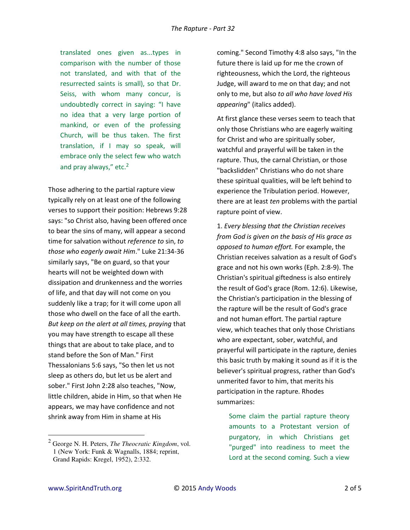translated ones given as...types in comparison with the number of those not translated, and with that of the resurrected saints is small), so that Dr. Seiss, with whom many concur, is undoubtedly correct in saying: "I have no idea that a very large portion of mankind, or even of the professing Church, will be thus taken. The first translation, if I may so speak, will embrace only the select few who watch and pray always," etc. $2$ 

Those adhering to the partial rapture view typically rely on at least one of the following verses to support their position: Hebrews 9:28 says: "so Christ also, having been offered once to bear the sins of many, will appear a second time for salvation without *reference to* sin, *to those who eagerly await Him*." Luke 21:34-36 similarly says, "Be on guard, so that your hearts will not be weighted down with dissipation and drunkenness and the worries of life, and that day will not come on you suddenly like a trap; for it will come upon all those who dwell on the face of all the earth. *But keep on the alert at all times, praying* that you may have strength to escape all these things that are about to take place, and to stand before the Son of Man." First Thessalonians 5:6 says, "So then let us not sleep as others do, but let us be alert and sober." First John 2:28 also teaches, "Now, little children, abide in Him, so that when He appears, we may have confidence and not shrink away from Him in shame at His

coming." Second Timothy 4:8 also says, "In the future there is laid up for me the crown of righteousness, which the Lord, the righteous Judge, will award to me on that day; and not only to me, but also *to all who have loved His appearing*" (italics added).

At first glance these verses seem to teach that only those Christians who are eagerly waiting for Christ and who are spiritually sober, watchful and prayerful will be taken in the rapture. Thus, the carnal Christian, or those "backslidden" Christians who do not share these spiritual qualities, will be left behind to experience the Tribulation period. However, there are at least *ten* problems with the partial rapture point of view.

1. *Every blessing that the Christian receives from God is given on the basis of His grace as opposed to human effort.* For example, the Christian receives salvation as a result of God's grace and not his own works (Eph. 2:8-9). The Christian's spiritual giftedness is also entirely the result of God's grace (Rom. 12:6). Likewise, the Christian's participation in the blessing of the rapture will be the result of God's grace and not human effort. The partial rapture view, which teaches that only those Christians who are expectant, sober, watchful, and prayerful will participate in the rapture, denies this basic truth by making it sound as if it is the believer's spiritual progress, rather than God's unmerited favor to him, that merits his participation in the rapture. Rhodes summarizes:

Some claim the partial rapture theory amounts to a Protestant version of purgatory, in which Christians get "purged" into readiness to meet the Lord at the second coming. Such a view

l

<sup>2</sup> George N. H. Peters, *The Theocratic Kingdom*, vol. 1 (New York: Funk & Wagnalls, 1884; reprint, Grand Rapids: Kregel, 1952), 2:332.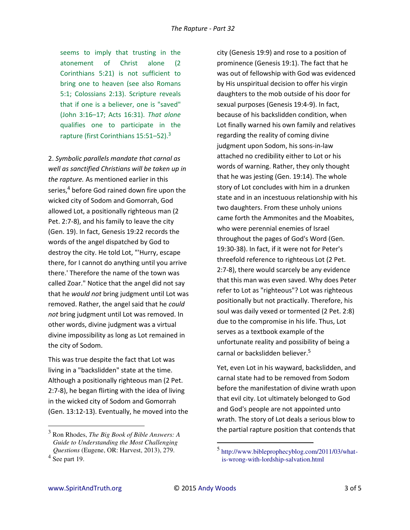seems to imply that trusting in the atonement of Christ alone (2 Corinthians 5:21) is not sufficient to bring one to heaven (see also Romans 5:1; Colossians 2:13). Scripture reveals that if one is a believer, one is "saved" (John 3:16–17; Acts 16:31). *That alone* qualifies one to participate in the rapture (first Corinthians 15:51-52).<sup>3</sup>

2. *Symbolic parallels mandate that carnal as well as sanctified Christians will be taken up in the rapture.* As mentioned earlier in this series,<sup>4</sup> before God rained down fire upon the wicked city of Sodom and Gomorrah, God allowed Lot, a positionally righteous man (2 Pet. 2:7-8), and his family to leave the city (Gen. 19). In fact, Genesis 19:22 records the words of the angel dispatched by God to destroy the city. He told Lot, "'Hurry, escape there, for I cannot do anything until you arrive there.' Therefore the name of the town was called Zoar." Notice that the angel did not say that he *would not* bring judgment until Lot was removed. Rather, the angel said that he *could not* bring judgment until Lot was removed. In other words, divine judgment was a virtual divine impossibility as long as Lot remained in the city of Sodom.

This was true despite the fact that Lot was living in a "backslidden" state at the time. Although a positionally righteous man (2 Pet. 2:7-8), he began flirting with the idea of living in the wicked city of Sodom and Gomorrah (Gen. 13:12-13). Eventually, he moved into the

city (Genesis 19:9) and rose to a position of prominence (Genesis 19:1). The fact that he was out of fellowship with God was evidenced by His unspiritual decision to offer his virgin daughters to the mob outside of his door for sexual purposes (Genesis 19:4-9). In fact, because of his backslidden condition, when Lot finally warned his own family and relatives regarding the reality of coming divine judgment upon Sodom, his sons-in-law attached no credibility either to Lot or his words of warning. Rather, they only thought that he was jesting (Gen. 19:14). The whole story of Lot concludes with him in a drunken state and in an incestuous relationship with his two daughters. From these unholy unions came forth the Ammonites and the Moabites, who were perennial enemies of Israel throughout the pages of God's Word (Gen. 19:30-38). In fact, if it were not for Peter's threefold reference to righteous Lot (2 Pet. 2:7-8), there would scarcely be any evidence that this man was even saved. Why does Peter refer to Lot as "righteous"? Lot was righteous positionally but not practically. Therefore, his soul was daily vexed or tormented (2 Pet. 2:8) due to the compromise in his life. Thus, Lot serves as a textbook example of the unfortunate reality and possibility of being a carnal or backslidden believer.<sup>5</sup>

Yet, even Lot in his wayward, backslidden, and carnal state had to be removed from Sodom before the manifestation of divine wrath upon that evil city. Lot ultimately belonged to God and God's people are not appointed unto wrath. The story of Lot deals a serious blow to the partial rapture position that contends that

l

 $\overline{a}$ 

<sup>3</sup> Ron Rhodes, *The Big Book of Bible Answers: A Guide to Understanding the Most Challenging Questions* (Eugene, OR: Harvest, 2013), 279. <sup>4</sup> See part 19.

<sup>5</sup> [http://www.bibleprophecyblog.com/2011/03/what](http://www.bibleprophecyblog.com/2011/03/what-is-wrong-with-lordship-salvation.html)[is-wrong-with-lordship-salvation.html](http://www.bibleprophecyblog.com/2011/03/what-is-wrong-with-lordship-salvation.html)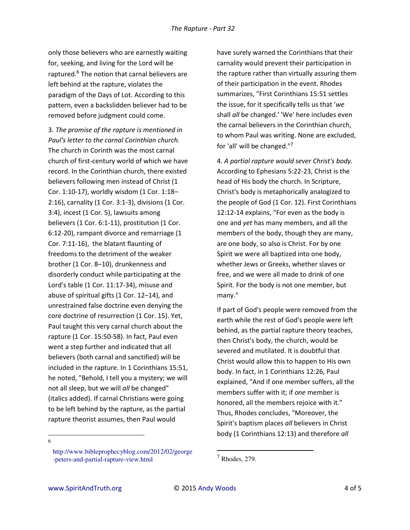only those believers who are earnestly waiting for, seeking, and living for the Lord will be raptured.<sup>6</sup> The notion that carnal believers are left behind at the rapture, violates the paradigm of the Days of Lot. According to this pattern, even a backslidden believer had to be removed before judgment could come.

3. *The promise of the rapture is mentioned in Paul's letter to the carnal Corinthian church.* The church in Corinth was the most carnal church of first-century world of which we have record. In the Corinthian church, there existed believers following men instead of Christ (1 Cor. 1:10-17), worldly wisdom (1 Cor. 1:18-2:16), carnality (1 Cor. 3:1-3), divisions (1 Cor. 3:4), incest (1 Cor. 5), lawsuits among believers (1 Cor. 6:1-11), prostitution (1 Cor. 6:12-20), rampant divorce and remarriage (1 Cor. 7:11-16), the blatant flaunting of freedoms to the detriment of the weaker brother (1 Cor. 8-10), drunkenness and disorderly conduct while participating at the Lord's table (1 Cor. 11:17-34), misuse and abuse of spiritual gifts (1 Cor. 12-14), and unrestrained false doctrine even denying the core doctrine of resurrection (1 Cor. 15). Yet, Paul taught this very carnal church about the rapture (1 Cor. 15:50-58). In fact, Paul even went a step further and indicated that all believers (both carnal and sanctified) will be included in the rapture. In 1 Corinthians 15:51, he noted, "Behold, I tell you a mystery; we will not all sleep, but we will *all* be changed" (italics added). If carnal Christians were going to be left behind by the rapture, as the partial rapture theorist assumes, then Paul would

l 6

have surely warned the Corinthians that their carnality would prevent their participation in the rapture rather than virtually assuring them of their participation in the event. Rhodes summarizes, "First Corinthians 15:51 settles the issue, for it specifically tells us that '*we* shall *all* be changed.' 'We' here includes even the carnal believers in the Corinthian church, to whom Paul was writing. None are excluded, for 'all' will be changed."<sup>7</sup>

4. *A partial rapture would sever Christ's body.* According to Ephesians 5:22-23, Christ is the head of His body the church. In Scripture, Christ's body is metaphorically analogized to the people of God (1 Cor. 12). First Corinthians 12:12-14 explains, "For even as the body is one and *yet* has many members, and all the members of the body, though they are many, are one body, so also is Christ. For by one Spirit we were all baptized into one body, whether Jews or Greeks, whether slaves or free, and we were all made to drink of one Spirit. For the body is not one member, but many."

If part of God's people were removed from the earth while the rest of God's people were left behind, as the partial rapture theory teaches, then Christ's body, the church, would be severed and mutilated. It is doubtful that Christ would allow this to happen to His own body. In fact, in 1 Corinthians 12:26, Paul explained, "And if one member suffers, all the members suffer with it; if *one* member is honored, all the members rejoice with it." Thus, Rhodes concludes, "Moreover, the Spirit's baptism places *all* believers in Christ body (1 Corinthians 12:13) and therefore *all*

 $\overline{a}$ 

[http://www.bibleprophecyblog.com/2012/02/george](http://www.bibleprophecyblog.com/2012/02/george-peters-and-partial-rapture-view.html) [-peters-and-partial-rapture-view.html](http://www.bibleprophecyblog.com/2012/02/george-peters-and-partial-rapture-view.html)

<sup>7</sup> Rhodes, 279.